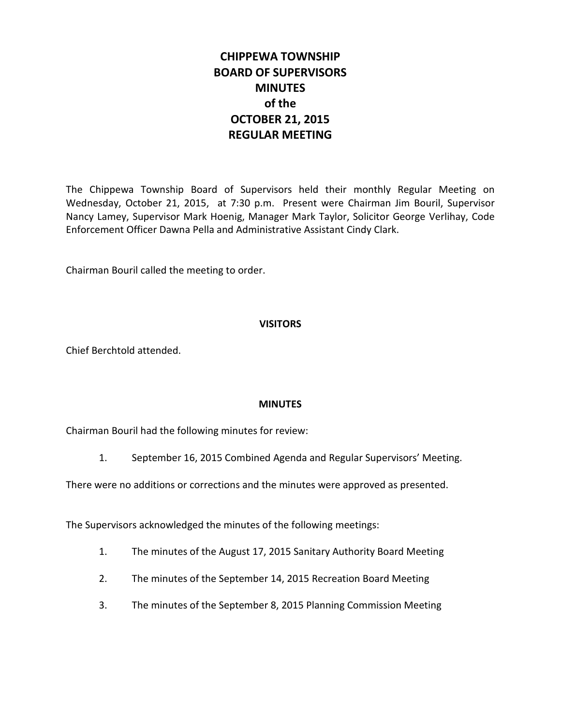# **CHIPPEWA TOWNSHIP BOARD OF SUPERVISORS MINUTES of the OCTOBER 21, 2015 REGULAR MEETING**

The Chippewa Township Board of Supervisors held their monthly Regular Meeting on Wednesday, October 21, 2015, at 7:30 p.m. Present were Chairman Jim Bouril, Supervisor Nancy Lamey, Supervisor Mark Hoenig, Manager Mark Taylor, Solicitor George Verlihay, Code Enforcement Officer Dawna Pella and Administrative Assistant Cindy Clark.

Chairman Bouril called the meeting to order.

## **VISITORS**

Chief Berchtold attended.

#### **MINUTES**

Chairman Bouril had the following minutes for review:

1. September 16, 2015 Combined Agenda and Regular Supervisors' Meeting.

There were no additions or corrections and the minutes were approved as presented.

The Supervisors acknowledged the minutes of the following meetings:

- 1. The minutes of the August 17, 2015 Sanitary Authority Board Meeting
- 2. The minutes of the September 14, 2015 Recreation Board Meeting
- 3. The minutes of the September 8, 2015 Planning Commission Meeting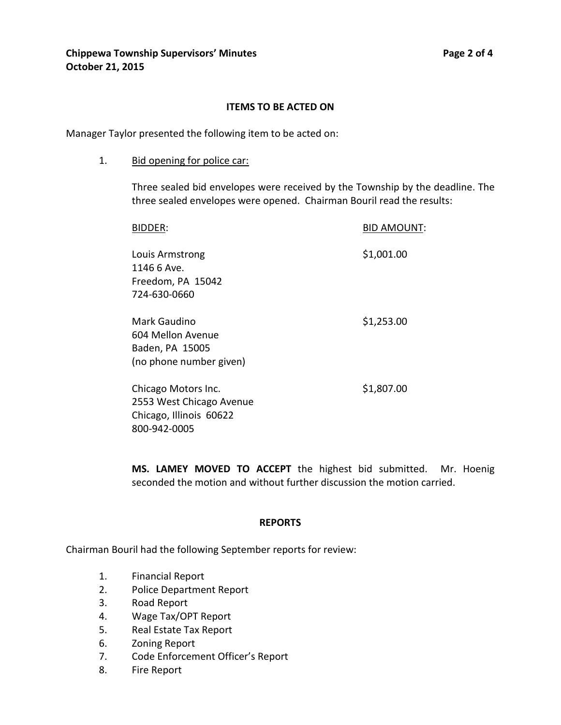#### **ITEMS TO BE ACTED ON**

Manager Taylor presented the following item to be acted on:

1. Bid opening for police car:

Three sealed bid envelopes were received by the Township by the deadline. The three sealed envelopes were opened. Chairman Bouril read the results:

| BIDDER:                  | <b>BID AMOUNT:</b> |
|--------------------------|--------------------|
| Louis Armstrong          | \$1,001.00         |
| 1146 6 Ave.              |                    |
| Freedom, PA 15042        |                    |
| 724-630-0660             |                    |
| Mark Gaudino             | \$1,253.00         |
| 604 Mellon Avenue        |                    |
| Baden, PA 15005          |                    |
| (no phone number given)  |                    |
| Chicago Motors Inc.      | \$1,807.00         |
| 2553 West Chicago Avenue |                    |
| Chicago, Illinois 60622  |                    |
| 800-942-0005             |                    |
|                          |                    |

**MS. LAMEY MOVED TO ACCEPT** the highest bid submitted. Mr. Hoenig seconded the motion and without further discussion the motion carried.

#### **REPORTS**

Chairman Bouril had the following September reports for review:

- 1. Financial Report
- 2. Police Department Report
- 3. Road Report
- 4. Wage Tax/OPT Report
- 5. Real Estate Tax Report
- 6. Zoning Report
- 7. Code Enforcement Officer's Report
- 8. Fire Report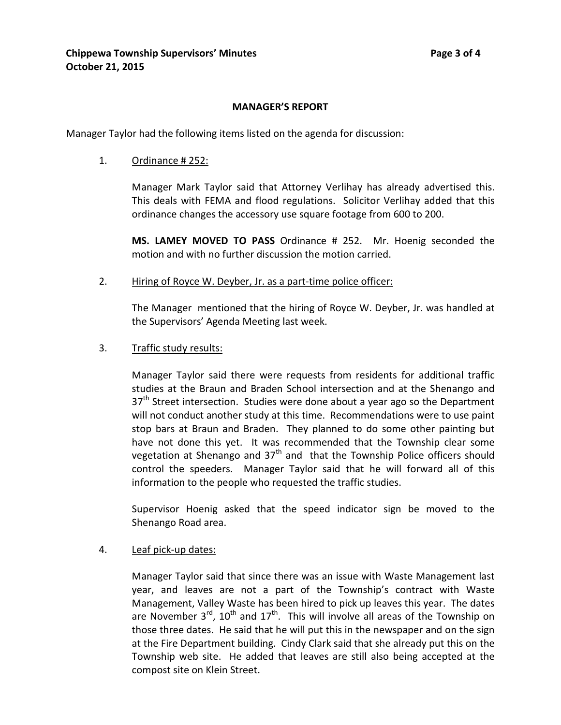# **MANAGER'S REPORT**

Manager Taylor had the following items listed on the agenda for discussion:

1. Ordinance # 252:

Manager Mark Taylor said that Attorney Verlihay has already advertised this. This deals with FEMA and flood regulations. Solicitor Verlihay added that this ordinance changes the accessory use square footage from 600 to 200.

**MS. LAMEY MOVED TO PASS** Ordinance # 252. Mr. Hoenig seconded the motion and with no further discussion the motion carried.

2. Hiring of Royce W. Deyber, Jr. as a part-time police officer:

The Manager mentioned that the hiring of Royce W. Deyber, Jr. was handled at the Supervisors' Agenda Meeting last week.

3. Traffic study results:

Manager Taylor said there were requests from residents for additional traffic studies at the Braun and Braden School intersection and at the Shenango and  $37<sup>th</sup>$  Street intersection. Studies were done about a year ago so the Department will not conduct another study at this time. Recommendations were to use paint stop bars at Braun and Braden. They planned to do some other painting but have not done this yet. It was recommended that the Township clear some vegetation at Shenango and  $37<sup>th</sup>$  and that the Township Police officers should control the speeders. Manager Taylor said that he will forward all of this information to the people who requested the traffic studies.

Supervisor Hoenig asked that the speed indicator sign be moved to the Shenango Road area.

4. Leaf pick-up dates:

Manager Taylor said that since there was an issue with Waste Management last year, and leaves are not a part of the Township's contract with Waste Management, Valley Waste has been hired to pick up leaves this year. The dates are November  $3^{rd}$ ,  $10^{th}$  and  $17^{th}$ . This will involve all areas of the Township on those three dates. He said that he will put this in the newspaper and on the sign at the Fire Department building. Cindy Clark said that she already put this on the Township web site. He added that leaves are still also being accepted at the compost site on Klein Street.